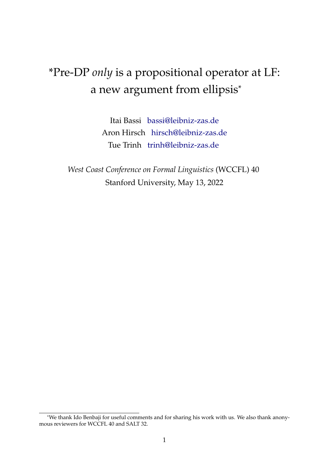# \*Pre-DP *only* is a propositional operator at LF: a new argument from ellipsis\*

Itai Bassi [bassi@leibniz-zas.de](mailto:bassi@leibniz-zas.de) Aron Hirsch [hirsch@leibniz-zas.de](mailto:hirsch@leibniz-zas.de) Tue Trinh [trinh@leibniz-zas.de](mailto:trinh@leibniz-zas.de)

*West Coast Conference on Formal Linguistics* (WCCFL) 40 Stanford University, May 13, 2022

<sup>\*</sup>We thank Ido Benbaji for useful comments and for sharing his work with us. We also thank anonymous reviewers for WCCFL 40 and SALT 32.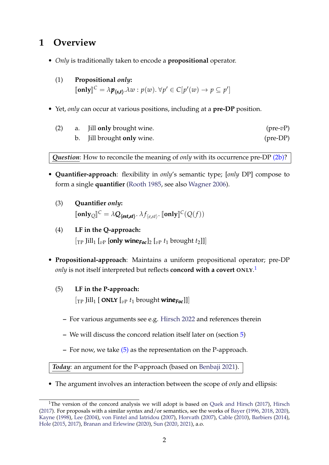# **1 Overview**

- *Only* is traditionally taken to encode a **propositional** operator.
	- (1) **Propositional** *only***:**  $[\![\text{only}]\!]^C = \lambda p_{\langle s,t\rangle}.\lambda w : p(w).\forall p' \in C[p'(w) \rightarrow p \subseteq p']$
- Yet, *only* can occur at various positions, including at a **pre-DP** position.

<span id="page-1-0"></span>

| (2) | a. Jill <b>only</b> brought wine. | $(pre-vP)$        |
|-----|-----------------------------------|-------------------|
|     | b. Jill brought only wine.        | $(\text{pre-DP})$ |

*Question*: How to reconcile the meaning of *only* with its occurrence pre-DP [\(2b\)?](#page-1-0)

- **Quantifier-approach**: flexibility in *only*'s semantic type; [*only* DP] compose to form a single **quantifier** [\(Rooth](#page-11-0) [1985,](#page-11-0) see also [Wagner](#page-12-0) [2006\)](#page-12-0).
	- (3) **Quantifier** *only***:**  $[\![\text{only}]\!]^C = \lambda \mathbf{Q}_{\langle \text{est,st} \rangle}$ .  $\lambda f_{\langle e, st \rangle}$ .  $[\![\text{only}]\!]^C(Q(f))$
	- (4) **LF in the Q-approach:**  $\left[\begin{bmatrix}T_P & \text{Jill}_1 & \text{[} & v_P & \text{[only wine} & v_P \text{]} \text{[} & v_P & t_1 & \text{brought } t_2 \text{]} \end{bmatrix}\right]$
- <span id="page-1-2"></span>• **Propositional-approach**: Maintains a uniform propositional operator; pre-DP *only* is not itself interpreted but reflects **concord with a covert ONLY**. [1](#page-1-1)
	- (5) **LF in the P-approach:**  $\left[\begin{matrix}T_P & \text{fill}_{1} & \text{[ONLY]}_{vP} & t_1 & \text{brought wine}_{Foc}\end{matrix}\right]$ 
		- **–** For various arguments see e.g. [Hirsch](#page-11-1) [2022](#page-11-1) and references therein
		- **–** We will discuss the concord relation itself later on (section [5\)](#page-7-0)
		- **–** For now, we take [\(5\)](#page-1-2) as the representation on the P-approach.

*Today*: an argument for the P-approach (based on [Benbaji](#page-10-0) [2021\)](#page-10-0).

<span id="page-1-3"></span>• The argument involves an interaction between the scope of *only* and ellipsis:

<span id="page-1-1"></span><sup>&</sup>lt;sup>1</sup>The version of the concord analysis we will adopt is based on [Quek and Hirsch](#page-11-2) [\(2017\)](#page-11-2), [Hirsch](#page-11-3) [\(2017\)](#page-11-3). For proposals with a similar syntax and/or semantics, see the works of [Bayer](#page-10-1) [\(1996,](#page-10-1) [2018,](#page-10-2) [2020\)](#page-10-3), [Kayne](#page-11-4) [\(1998\)](#page-11-4), [Lee](#page-11-5) [\(2004\)](#page-11-5), [von Fintel and Iatridou](#page-12-1) [\(2007\)](#page-12-1), [Horvath](#page-11-6) [\(2007\)](#page-11-6), [Cable](#page-11-7) [\(2010\)](#page-11-7), [Barbiers](#page-10-4) [\(2014\)](#page-10-4), [Hole](#page-11-8) [\(2015,](#page-11-8) [2017\)](#page-11-9), [Branan and Erlewine](#page-10-5) [\(2020\)](#page-10-5), [Sun](#page-12-2) [\(2020,](#page-12-2) [2021\)](#page-12-3), a.o.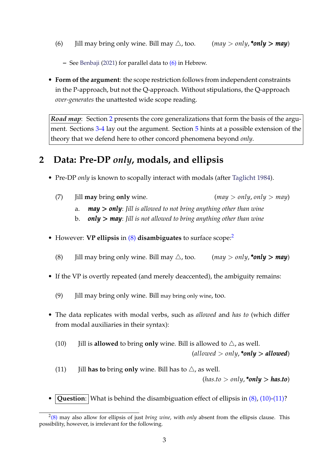(6) Jill may bring only wine. Bill may  $\triangle$ , too. (*may > only*, \*only > may)

**–** See [Benbaji](#page-10-0) [\(2021\)](#page-10-0) for parallel data to [\(6\)](#page-1-3) in Hebrew.

• **Form of the argument**: the scope restriction follows from independent constraints in the P-approach, but not the Q-approach. Without stipulations, the Q-approach *over-generates* the unattested wide scope reading.

*Road map*: Section [2](#page-2-0) presents the core generalizations that form the basis of the argument. Sections [3](#page-3-0)[-4](#page-5-0) lay out the argument. Section [5](#page-7-0) hints at a possible extension of the theory that we defend here to other concord phenomena beyond *only*.

# <span id="page-2-0"></span>**2 Data: Pre-DP** *only***, modals, and ellipsis**

- <span id="page-2-5"></span>• Pre-DP *only* is known to scopally interact with modals (after [Taglicht](#page-12-4) [1984\)](#page-12-4).
	- (7) Jill **may** bring **only** wine. (*may* > *only*, *only* > *may*)
		- a. *may* > *only*: *Jill is allowed to not bring anything other than wine*
		- b. *only* > *may*: *Jill is not allowed to bring anything other than wine*
- <span id="page-2-1"></span>• However: **VP ellipsis** in [\(8\)](#page-2-1) **disambiguates** to surface scope:[2](#page-2-2)
	- (8) Jill may bring only wine. Bill may  $\triangle$ , too. (*may* > *only*, \**only* > *may*)
- If the VP is overtly repeated (and merely deaccented), the ambiguity remains:
	- (9) Jill may bring only wine. Bill may bring only wine, too.
- <span id="page-2-3"></span>• The data replicates with modal verbs, such as *allowed* and *has to* (which differ from modal auxiliaries in their syntax):
	- (10) Jill is **allowed** to bring **only** wine. Bill is allowed to  $\triangle$ , as well.

 $(allowed > only, *only > allowed$ 

<span id="page-2-4"></span>(11) Jill **has to** bring **only** wine. Bill has to  $\triangle$ , as well.

 $(has.to > only, *only > has.to)$ 

**Question**: What is behind the disambiguation effect of ellipsis in  $(8)$ ,  $(10)-(11)$  $(10)-(11)$ ?

<span id="page-2-2"></span><sup>2</sup> [\(8\)](#page-2-1) may also allow for ellipsis of just *bring wine*, with *only* absent from the ellipsis clause. This possibility, however, is irrelevant for the following.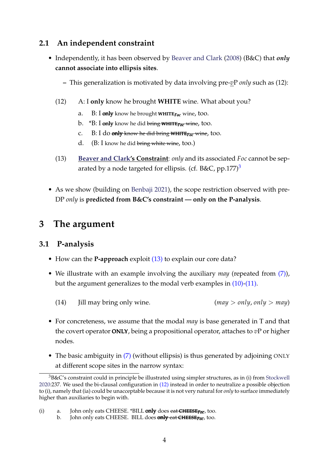## **2.1 An independent constraint**

- <span id="page-3-3"></span>• Independently, it has been observed by [Beaver and Clark](#page-10-6) [\(2008\)](#page-10-6) (B&C) that *only* **cannot associate into ellipsis sites**.
	- **–** This generalization is motivated by data involving pre-*v*P *only* such as (12):
	- (12) A: I **only** know he brought **WHITE** wine. What about you?
		- a. B: I only know he brought WHITE*Foc* wine, too.
		- b. \*B: I only know he did bring WHITE*Foc* wine, too.
		- c. B: I do only know he did bring WHITE*Foc* wine, too.
		- d. (B: I know he did bring white wine, too.)
	- (13) **[Beaver and Clark'](#page-10-6)s Constraint**: *only* and its associated *Foc* cannot be sep-arated by a node targeted for ellipsis. (cf. B&C, pp.177)<sup>[3](#page-3-1)</sup>
- <span id="page-3-2"></span>• As we show (building on [Benbaji](#page-10-0) [2021\)](#page-10-0), the scope restriction observed with pre-DP *only* is **predicted from B&C's constraint — only on the P-analysis**.

# <span id="page-3-0"></span>**3 The argument**

### **3.1 P-analysis**

- How can the **P-approach** exploit [\(13\)](#page-3-2) to explain our core data?
- We illustrate with an example involving the auxiliary *may* (repeated from [\(7\)\)](#page-2-5), but the argument generalizes to the modal verb examples in [\(10\)](#page-2-3)[-\(11\).](#page-2-4)
	- (14) Jill may bring only wine. (*may* > *only*, *only* > *may*)
- For concreteness, we assume that the modal *may* is base generated in T and that the covert operator ONLY, being a propositional operator, attaches to *v*P or higher nodes.
- The basic ambiguity in [\(7\)](#page-2-5) (without ellipsis) is thus generated by adjoining ONLY at different scope sites in the narrow syntax:

<span id="page-3-4"></span><span id="page-3-1"></span> $3B\&C$ 's constraint could in principle be illustrated using simpler structures, as in (i) from [Stockwell](#page-11-10) [2020:](#page-11-10)237. We used the bi-clausal configuration in [\(12\)](#page-3-3) instead in order to neutralize a possible objection to (i), namely that (ia) could be unacceptable because it is not very natural for *only* to surface immediately higher than auxiliaries to begin with.

<sup>(</sup>i) a. John only eats CHEESE. \*BILL only does eat CHEESE*Foc* , too.

b. John only eats CHEESE. BILL does only eat CHEESE*Foc* , too.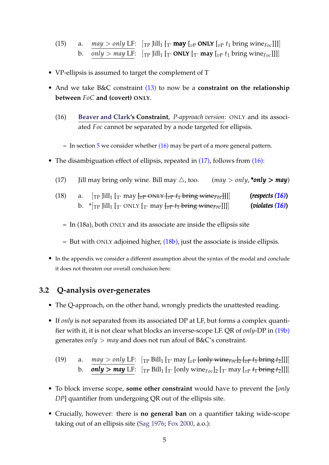(15) a. 
$$
\frac{may > only \, \text{LF:}}{\text{OPT: } \left[\text{TP} \text{ Jill}_1 \left[\text{Tr} \text{may} \left[\text{or} \text{ONLY} \left[\text{Pr} \text{t}_1 \text{bring} \text{win} \text{F}_{\text{p}c}\right]\right]\right]\right]}
$$
 b.  $\frac{only > \, \text{may} \, \text{LF: } \left[\text{TP} \text{ Jill}_1 \left[\text{Tr} \text{ONLY} \left[\text{Tr} \text{may} \left[\text{F}_{\text{p}c}\right]\right]\right]\right]}$ 

- VP-ellipsis is assumed to target the complement of T
- <span id="page-4-0"></span>• And we take B&C constraint [\(13\)](#page-3-2) to now be a **constraint on the relationship between** *FoC* **and (covert) ONLY**.
	- (16) **[Beaver and Clark'](#page-10-6)s Constraint**, *P-approach version*: ONLY and its associated *Foc* cannot be separated by a node targeted for ellipsis.
		- **–** In section [5](#page-7-0) we consider whether [\(16\)](#page-4-0) may be part of a more general pattern.
- <span id="page-4-2"></span><span id="page-4-1"></span>• The disambiguation effect of ellipsis, repeated in [\(17\),](#page-4-1) follows from [\(16\):](#page-4-0)
	- (17) Jill may bring only wine. Bill may  $\triangle$ , too. (*may* > *only*, \**only* > *may*)
	- (18) a.  $[\text{TP} \text{Jill}_1 [\text{Tr} \text{may} \text{f}_{\overline{v}}]$   $\text{ONLY} \text{f}_{\overline{v}}$   $\text{F1}$  bring wine  $\text{F0}$ . (*respects* [\(16\)](#page-4-0)) b.  $\mathcal{F}_{\text{TP}}$  Jill<sub>1</sub> [<sub>T'</sub> ONLY [<sub>T'</sub> may  $\frac{1}{\sqrt{p}} t_1$  bring wine  $\frac{1}{\sqrt{p}}$  (*violates* [\(16\)](#page-4-0))
		- **–** In (18a), both ONLY and its associate are inside the ellipsis site
		- **–** But with ONLY adjoined higher, [\(18b\),](#page-4-2) just the associate is inside ellipsis.
- In the appendix we consider a different assumption about the syntax of the modal and conclude it does not threaten our overall conclusion here.

#### **3.2 Q-analysis over-generates**

- The Q-approach, on the other hand, wrongly predicts the unattested reading.
- If *only* is not separated from its associated DP at LF, but forms a complex quantifier with it, it is not clear what blocks an inverse-scope LF. QR of *only*-DP in [\(19b\)](#page-4-3) generates *only* > *may* and does not run afoul of B&C's constraint.

<span id="page-4-3"></span>(19) a. *may* > *only* LF:  $\left[\text{TP Bill} \left( \frac{\text{F}}{\text{TP}} \left[ \text{Cov}(n) \right] \right] \right]$ b. **only > may** LF:  $[\text{TP Bill}[\text{T}']$  [only wine $F_{\text{oc}}]_2$  [ $T'$  may [ $\text{DP } t_1$  bring  $t_2$ ]]]]

- To block inverse scope, **some other constraint** would have to prevent the [*only DP*] quantifier from undergoing QR out of the ellipsis site.
- Crucially, however: there is **no general ban** on a quantifier taking wide-scope taking out of an ellipsis site [\(Sag](#page-11-11) [1976;](#page-11-11) [Fox](#page-11-12) [2000,](#page-11-12) a.o.):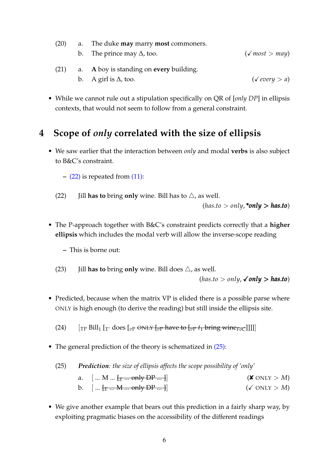| (20) | a. The duke <b>may</b> marry <b>most</b> commoners. |                       |  |
|------|-----------------------------------------------------|-----------------------|--|
|      | b. The prince may $\Delta$ , too.                   | $(\sqrt{most} > may)$ |  |
| (21) | a. A boy is standing on every building.             |                       |  |
|      | b. A girl is $\Delta$ , too.                        | ( <i>every</i> > a)   |  |

• While we cannot rule out a stipulation specifically on QR of [*only DP*] in ellipsis contexts, that would not seem to follow from a general constraint.

# <span id="page-5-0"></span>**4 Scope of** *only* **correlated with the size of ellipsis**

- <span id="page-5-1"></span>• We saw earlier that the interaction between *only* and modal **verbs** is also subject to B&C's constraint.
	- **–** [\(22\)](#page-5-1) is repeated from [\(11\):](#page-2-4)
	- (22) Jill **has to** bring **only** wine. Bill has to  $\triangle$ , as well.

 $(has.to > only, *only > has.to)$ 

- The P-approach together with B&C's constraint predicts correctly that a **higher ellipsis** which includes the modal verb will allow the inverse-scope reading
	- **–** This is borne out:
	- (23) Jill **has to** bring **only** wine. Bill does  $\triangle$ , as well.

 $(has.to > only, \checkmark only > has.to)$ 

• Predicted, because when the matrix VP is elided there is a possible parse where ONLY is high enough (to derive the reading) but still inside the ellipsis site.

(24)  $\left[\begin{matrix} \Gamma_P & \text{Bill}_1 \end{matrix}\right]$   $\left[\begin{matrix} \Gamma' & \text{does} \end{matrix}\right]$   $\left[\begin{matrix} v_P & \text{ONLY} \end{matrix}\right]$   $\left[\begin{matrix} v_P & \text{have to} \end{matrix}\right]$   $\left[\begin{matrix} v_P & t_1 \end{matrix}\right]$  bring wine  $\left[\begin{matrix} v_P & \text{the} \end{matrix}\right]$ 

<span id="page-5-2"></span>• The general prediction of the theory is schematized in  $(25)$ :

(25) *Prediction: the size of ellipsis affects the scope possibility of 'only'* a.  $[... M ... ]E ...$  only DP ... ] b.  $[ ... [E ... M ... only DP ... ] ]$  ( $\checkmark$  ONLY > *M*)

• We give another example that bears out this prediction in a fairly sharp way, by exploiting pragmatic biases on the accessibility of the different readings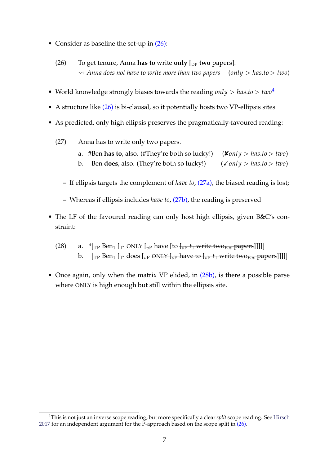- <span id="page-6-0"></span>• Consider as baseline the set-up in  $(26)$ :
	- (26) To get tenure, Anna **has to** write **only**  $\lbrack_{DP}$  **two** papers]. ⇝ *Anna does not have to write more than two papers* (*only* > *has*.*to*> *two*)
- World knowledge strongly biases towards the reading *only* > *has*.*to*> *two*[4](#page-6-1)
- A structure like [\(26\)](#page-6-0) is bi-clausal, so it potentially hosts two VP-ellipsis sites
- <span id="page-6-3"></span><span id="page-6-2"></span>• As predicted, only high ellipsis preserves the pragmatically-favoured reading:
	- (27) Anna has to write only two papers.
		- a. #Ben **has to**, also. (#They're both so lucky!)  $(\textbf{\textit{X}} \circ nIy > \textit{has} \cdot to > \textit{two})$ b. Ben **does**, also. (They're both so lucky!)  $(\sqrt{only} > \text{has}.to > \text{two})$
		- **–** If ellipsis targets the complement of *have to*, [\(27a\),](#page-6-2) the biased reading is lost;
		- **–** Whereas if ellipsis includes *have to*, [\(27b\),](#page-6-3) the reading is preserved
- The LF of the favoured reading can only host high ellipsis, given B&C's constraint:
	- (28) a.  $*_{\text{TP}}$  Ben<sub>1</sub> [<sub>T'</sub> ONLY [<sub>vP</sub> have [to [<sub>vP</sub>  $t_1$  write two<sub>Foc</sub> papers]]]]] b.  $[\text{TP Ben}_1 [\text{T'} does [v_P \text{ ONLY} [\text{p'} \text{ have to } [v_P t_1 \text{ write two}] \text{Cov}_i]$
- <span id="page-6-4"></span>• Once again, only when the matrix VP elided, in  $(28b)$ , is there a possible parse where ONLY is high enough but still within the ellipsis site.

<span id="page-6-1"></span><sup>4</sup>This is not just an inverse scope reading, but more specifically a clear *split* scope reading. See [Hirsch](#page-11-3) [2017](#page-11-3) for an independent argument for the P-approach based on the scope split in  $(26)$ .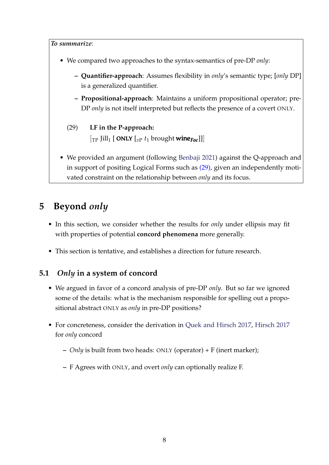*To summarize*:

- We compared two approaches to the syntax-semantics of pre-DP *only*:
	- **– Quantifier-approach**: Assumes flexibility in *only*'s semantic type; [*only* DP] is a generalized quantifier.
	- **– Propositional-approach**: Maintains a uniform propositional operator; pre-DP *only* is not itself interpreted but reflects the presence of a covert ONLY.
	- (29) **LF in the P-approach:**  $\left[\begin{matrix}T_P & \text{Jill}_1 & \text{ONLY} & \begin{matrix}v_P & t_1 & \text{brought} & \text{wine}_{\text{Foc}}\end{matrix}\end{matrix}\right]\right]$
- <span id="page-7-1"></span>• We provided an argument (following [Benbaji](#page-10-0) [2021\)](#page-10-0) against the Q-approach and in support of positing Logical Forms such as [\(29\),](#page-7-1) given an independently motivated constraint on the relationship between *only* and its focus.

# <span id="page-7-0"></span>**5 Beyond** *only*

- In this section, we consider whether the results for *only* under ellipsis may fit with properties of potential **concord phenomena** more generally.
- This section is tentative, and establishes a direction for future research.

## **5.1** *Only* **in a system of concord**

- We argued in favor of a concord analysis of pre-DP *only*. But so far we ignored some of the details: what is the mechanism responsible for spelling out a propositional abstract ONLY as *only* in pre-DP positions?
- For concreteness, consider the derivation in [Quek and Hirsch](#page-11-2) [2017,](#page-11-2) [Hirsch](#page-11-3) [2017](#page-11-3) for *only* concord
	- **–** *Only* is built from two heads: ONLY (operator) + F (inert marker);
	- **–** F Agrees with ONLY, and overt *only* can optionally realize F.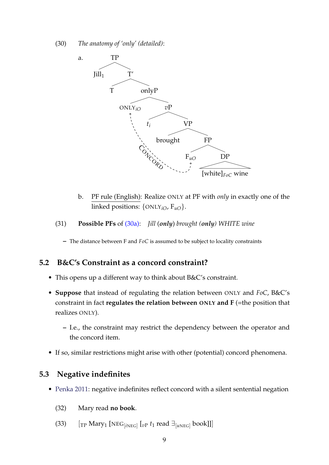<span id="page-8-0"></span>(30) *The anatomy of 'only' (detailed)*:



b. PF rule (English): Realize ONLY at PF with *only* in exactly one of the linked positions: {ONLY*iO*, F*uO*}.

#### (31) **Possible PFs** of [\(30a\):](#page-8-0) *Jill* (*only*) *brought (only) WHITE wine*

**–** The distance between F and *FoC* is assumed to be subject to locality constraints

#### **5.2 B&C's Constraint as a concord constraint?**

- This opens up a different way to think about B&C's constraint.
- **Suppose** that instead of regulating the relation between ONLY and *FoC*, B&C's constraint in fact **regulates the relation between ONLY and F** (=the position that realizes ONLY).
	- **–** I.e., the constraint may restrict the dependency between the operator and the concord item.
- If so, similar restrictions might arise with other (potential) concord phenomena.

#### **5.3 Negative indefinites**

- [Penka](#page-11-13) [2011:](#page-11-13) negative indefinites reflect concord with a silent sentential negation
	- (32) Mary read **no book**.
	- (33)  $\left[$ <sub>TP</sub> Mary<sub>1</sub> [NEG<sub>[*iNEG*]</sub>  $\left[$ <sub>*vP</sub> t<sub>1</sub> read*  $\exists$ <sub>[*uNEG*]</sub> book]]]</sub>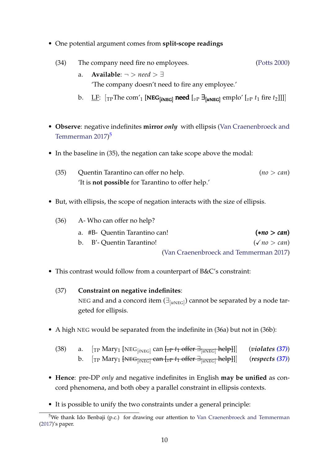• One potential argument comes from **split-scope readings**

| (34) | The company need fire no employees. |                                                                                                                                  | (Potts 2000) |
|------|-------------------------------------|----------------------------------------------------------------------------------------------------------------------------------|--------------|
|      | a.                                  | <b>Available:</b> $\neg$ > need > $\exists$                                                                                      |              |
|      |                                     | The company doesn't need to fire any employee.'                                                                                  |              |
|      |                                     | b. LF: $[\text{TP} \text{The com'}_1 \text{[NEG[iNEG] need } [v_P \exists_{[uNEG]} \text{emplo'} [v_P t_1 \text{ fire } t_2]]]]$ |              |

- **Observe**: negative indefinites **mirror** *only* with ellipsis [\(Van Craenenbroeck and](#page-12-5) [Temmerman](#page-12-5) [2017\)](#page-12-5)<sup>[5](#page-9-0)</sup>
- In the baseline in (35), the negation can take scope above the modal:
	- (35) Quentin Tarantino can offer no help. (*no* > *can*) 'It is **not possible** for Tarantino to offer help.'
- But, with ellipsis, the scope of negation interacts with the size of ellipsis.

| A-Who can offer no help?               |                               |  |
|----------------------------------------|-------------------------------|--|
| $(*no>can)$                            | a. #B- Quentin Tarantino can! |  |
| $(\sqrt{no} > can)$                    | b. B'- Quentin Tarantino!     |  |
| (Van Craenenbroeck and Temmerman 2017) |                               |  |

- <span id="page-9-1"></span>• This contrast would follow from a counterpart of B&C's constraint:
	- (37) **Constraint on negative indefinites**: NEG and and a concord item  $(\exists_{[u\text{NEG}]})$  cannot be separated by a node targeted for ellipsis.
- A high NEG would be separated from the indefinite in (36a) but not in (36b):
	- (38) a. [TP Mary<sup>1</sup> [NEG[*i*NEG] can [*v*<sup>P</sup> *t*<sup>1</sup> offer ∃[*u*NEG] help]]] (*violates [\(37\)](#page-9-1)*) b. [TP Mary<sup>1</sup> [NEG[*i*NEG] can [*v*<sup>P</sup> *t*<sup>1</sup> offer ∃[*u*NEG] help]]] (*respects [\(37\)](#page-9-1)*)
- **Hence**: pre-DP *only* and negative indefinites in English **may be unified** as concord phenomena, and both obey a parallel constraint in ellipsis contexts.
- It is possible to unify the two constraints under a general principle:

<span id="page-9-2"></span><span id="page-9-0"></span><sup>&</sup>lt;sup>5</sup>We thank Ido Benbaji (p.c.) for drawing our attention to [Van Craenenbroeck and Temmerman](#page-12-5) [\(2017\)](#page-12-5)'s paper.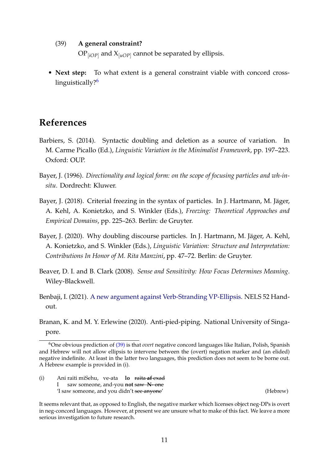#### (39) **A general constraint?**

 $\operatorname{OP}_{[iOP]}$  and  $\operatorname{X}_{[uOP]}$  cannot be separated by ellipsis.

• **Next step:** To what extent is a general constraint viable with concord cross-linguistically?<sup>[6](#page-10-7)</sup>

## **References**

- <span id="page-10-4"></span>Barbiers, S. (2014). Syntactic doubling and deletion as a source of variation. In M. Carme Picallo (Ed.), *Linguistic Variation in the Minimalist Framework*, pp. 197–223. Oxford: OUP.
- <span id="page-10-1"></span>Bayer, J. (1996). *Directionality and logical form: on the scope of focusing particles and wh-insitu*. Dordrecht: Kluwer.
- <span id="page-10-2"></span>Bayer, J. (2018). Criterial freezing in the syntax of particles. In J. Hartmann, M. Jäger, A. Kehl, A. Konietzko, and S. Winkler (Eds.), *Freezing: Theoretical Approaches and Empirical Domains*, pp. 225–263. Berlin: de Gruyter.
- <span id="page-10-3"></span>Bayer, J. (2020). Why doubling discourse particles. In J. Hartmann, M. Jäger, A. Kehl, A. Konietzko, and S. Winkler (Eds.), *Linguistic Variation: Structure and Interpretation: Contributions In Honor of M. Rita Manzini*, pp. 47–72. Berlin: de Gruyter.
- <span id="page-10-6"></span>Beaver, D. I. and B. Clark (2008). *Sense and Sensitivity: How Focus Determines Meaning*. Wiley-Blackwell.
- <span id="page-10-0"></span>Benbaji, I. (2021). [A new argument against Verb-Stranding VP-Ellipsis.](https://osf.io/srz5h/) NELS 52 Handout.

<span id="page-10-5"></span>Branan, K. and M. Y. Erlewine (2020). Anti-pied-piping. National University of Singapore.

(i) Ani raiti miSehu, ve-ata **lo** raita **af** exad I saw someone, and-you **not** saw **N-** one 'I saw someone, and you didn't see anyone' (Hebrew)

<span id="page-10-7"></span><sup>6</sup>One obvious prediction of [\(39\)](#page-9-2) is that *overt* negative concord languages like Italian, Polish, Spanish and Hebrew will not allow ellipsis to intervene between the (overt) negation marker and (an elided) negative indefinite. At least in the latter two languages, this prediction does not seem to be borne out. A Hebrew example is provided in (i).

It seems relevant that, as opposed to English, the negative marker which licenses object neg-DPs is overt in neg-concord languages. However, at present we are unsure what to make of this fact. We leave a more serious investigation to future research.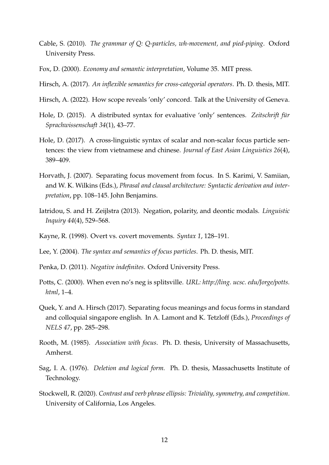- <span id="page-11-7"></span>Cable, S. (2010). *The grammar of Q: Q-particles, wh-movement, and pied-piping*. Oxford University Press.
- <span id="page-11-12"></span>Fox, D. (2000). *Economy and semantic interpretation*, Volume 35. MIT press.
- <span id="page-11-3"></span>Hirsch, A. (2017). *An inflexible semantics for cross-categorial operators*. Ph. D. thesis, MIT.
- <span id="page-11-1"></span>Hirsch, A. (2022). How scope reveals 'only' concord. Talk at the University of Geneva.
- <span id="page-11-8"></span>Hole, D. (2015). A distributed syntax for evaluative 'only' sentences. Zeitschrift für *Sprachwissenschaft 34*(1), 43–77.
- <span id="page-11-9"></span>Hole, D. (2017). A cross-linguistic syntax of scalar and non-scalar focus particle sentences: the view from vietnamese and chinese. *Journal of East Asian Linguistics 26*(4), 389–409.
- <span id="page-11-6"></span>Horvath, J. (2007). Separating focus movement from focus. In S. Karimi, V. Samiian, and W. K. Wilkins (Eds.), *Phrasal and clausal architecture: Syntactic derivation and interpretation*, pp. 108–145. John Benjamins.
- <span id="page-11-15"></span>Iatridou, S. and H. Zeijlstra (2013). Negation, polarity, and deontic modals. *Linguistic Inquiry 44*(4), 529–568.
- <span id="page-11-4"></span>Kayne, R. (1998). Overt vs. covert movements. *Syntax 1*, 128–191.
- <span id="page-11-5"></span>Lee, Y. (2004). *The syntax and semantics of focus particles*. Ph. D. thesis, MIT.
- <span id="page-11-13"></span>Penka, D. (2011). *Negative indefinites*. Oxford University Press.
- <span id="page-11-14"></span>Potts, C. (2000). When even no's neg is splitsville. *URL: http://ling. ucsc. edu/Jorge/potts. html*, 1–4.
- <span id="page-11-2"></span>Quek, Y. and A. Hirsch (2017). Separating focus meanings and focus forms in standard and colloquial singapore english. In A. Lamont and K. Tetzloff (Eds.), *Proceedings of NELS 47*, pp. 285–298.
- <span id="page-11-0"></span>Rooth, M. (1985). *Association with focus*. Ph. D. thesis, University of Massachusetts, Amherst.
- <span id="page-11-11"></span>Sag, I. A. (1976). *Deletion and logical form.* Ph. D. thesis, Massachusetts Institute of Technology.
- <span id="page-11-10"></span>Stockwell, R. (2020). *Contrast and verb phrase ellipsis: Triviality, symmetry, and competition*. University of California, Los Angeles.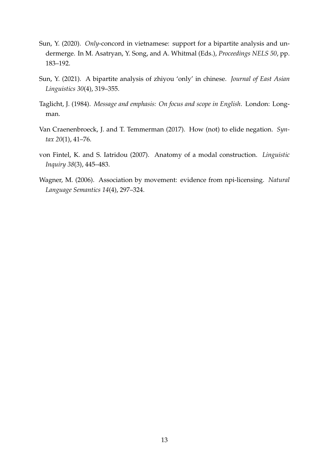- <span id="page-12-2"></span>Sun, Y. (2020). *Only*-concord in vietnamese: support for a bipartite analysis and undermerge. In M. Asatryan, Y. Song, and A. Whitmal (Eds.), *Proceedings NELS 50*, pp. 183–192.
- <span id="page-12-3"></span>Sun, Y. (2021). A bipartite analysis of zhiyou 'only' in chinese. *Journal of East Asian Linguistics 30*(4), 319–355.
- <span id="page-12-4"></span>Taglicht, J. (1984). *Message and emphasis: On focus and scope in English*. London: Longman.
- <span id="page-12-5"></span>Van Craenenbroeck, J. and T. Temmerman (2017). How (not) to elide negation. *Syntax 20*(1), 41–76.
- <span id="page-12-1"></span>von Fintel, K. and S. Iatridou (2007). Anatomy of a modal construction. *Linguistic Inquiry 38*(3), 445–483.
- <span id="page-12-0"></span>Wagner, M. (2006). Association by movement: evidence from npi-licensing. *Natural Language Semantics 14*(4), 297–324.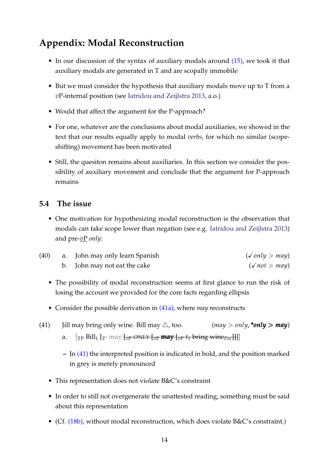# **Appendix: Modal Reconstruction**

- In our discussion of the syntax of auxiliary modals around [\(15\),](#page-3-4) we took it that auxiliary modals are generated in T and are scopally immobile
- But we must consider the hypothesis that auxiliary modals move up to T from a *v*P-internal position (see [Iatridou and Zeijlstra](#page-11-15) [2013,](#page-11-15) a.o.)
- Would that affect the argument for the P-approach?
- For one, whatever are the conclusions about modal auxiliaries, we showed in the text that our results equally apply to modal *verbs*, for which no similar (scopeshifting) movement has been motivated
- Still, the quesiton remains about auxiliaries. In this section we consider the possibility of auxiliary movement and conclude that the argument for P-approach remains

### **5.4 The issue**

• One motivation for hypothesizing modal reconstruction is the observation that modals can take scope lower than negation (see e.g. [Iatridou and Zeijlstra](#page-11-15) [2013\)](#page-11-15) and pre-*v*P *only*:

| (40) | a.     John may only learn Spanish | $(\sqrt{only} >$ may) |
|------|------------------------------------|-----------------------|
|      | b. John may not eat the cake       | $(\sqrt{not} >$ may)  |

- The possibility of modal reconstruction seems at first glance to run the risk of losing the account we provided for the core facts regarding ellipsis
- Consider the possible derivation in [\(41a\),](#page-13-0) where *may* reconstructs
- <span id="page-13-1"></span><span id="page-13-0"></span>(41) Jill may bring only wine. Bill may  $\triangle$ , too. (*may > only*, \**only* > *may*) a.  $[\text{TP Bill}_1 [\text{Tr} \text{may} \text{f}_{\overline{v}}]$   $[\text{DNLY} \text{f}_{\overline{v}}]$  **may**  $[\text{F}_{\overline{v}}]$  *t***<sub>1</sub>** bring wine<sub>*Foc*</sub>]]]
	- **–** In [\(41\)](#page-13-1) the interpreted position is indicated in bold, and the position marked in grey is merely pronounced
	- This representation does not violate B&C's constraint
	- In order to still not overgenerate the unattested reading, something must be said about this representation
	- (Cf. [\(18b\),](#page-4-2) without modal reconstruction, which does violate B&C's constraint.)